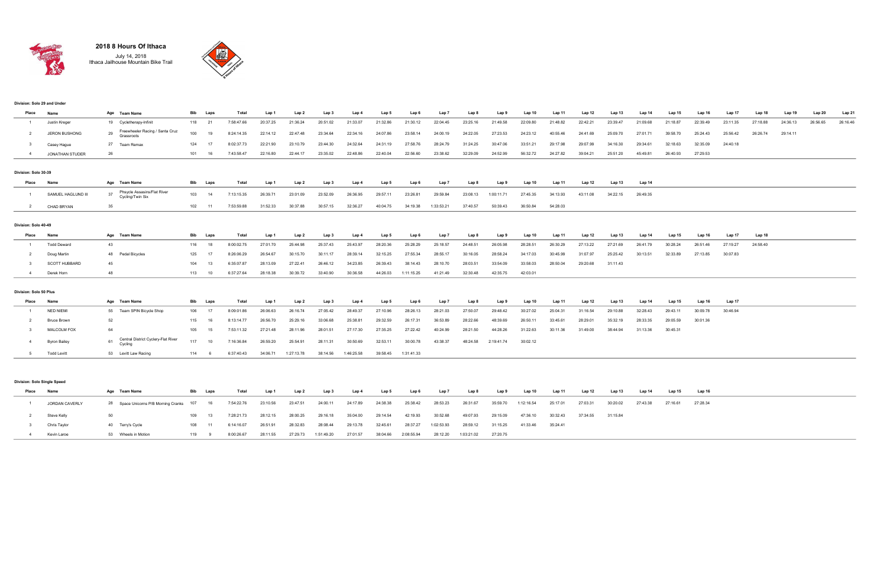## Division: Solo 29 and Under

| Place                  | Name                        | Age Team Name                                        |     | Bib Laps | Total      | Lap 1    | Lap 2                | Lap 3    | Lap 4      | Lap 5    | Lap 6                | Lap 7      | Lap 8    | Lap 9      | Lap 10            | Lap 11   | Lap 12   | Lap 13   | Lap 14   | Lap 15   | Lap 16   | Lap 17   | Lap 18   | Lap 19   | Lap 20   | Lap 21   |
|------------------------|-----------------------------|------------------------------------------------------|-----|----------|------------|----------|----------------------|----------|------------|----------|----------------------|------------|----------|------------|-------------------|----------|----------|----------|----------|----------|----------|----------|----------|----------|----------|----------|
| $\mathbf{1}$           | Justin Kreger               | 19 Cycletherapy-Infinit                              |     | 118 21   | 7:58:47.66 | 20:37.25 | 21:36.24             | 20:51.02 | 21:33.07   | 21:32.86 | 21:30.12             | 22:04.45   | 23:25.16 | 21:49.58   | 22:09.80          | 21:48.82 | 22:42.21 | 23:39.47 | 21:09.68 | 21:18.87 | 22:39.49 | 23:11.35 | 27:18.88 | 24:36.13 | 26:56.65 | 26:16.46 |
| $\overline{2}$         | JERON BUSHONG               | Freewheeler Racing / Santa Cruz<br>29<br>Grassroots  | 100 | 19       | 8:24:14.35 | 22:14.12 | 22:47.48             | 23:34.64 | 22:34.16   | 24:07.86 | 23:58.14             | 24:00.19   | 24:22.05 | 27:23.53   | 24:23.12          | 40:55.46 | 24:41.69 | 25:09.70 | 27:01.71 | 39:58.70 | 25:24.43 | 25:56.42 | 26:26.74 | 29:14.11 |          |          |
| -3                     | Casey Hague                 | 27 Team Remax                                        | 124 | -17      | 8:02:37.73 | 22:21.90 | 23:10.79             | 23:44.30 | 24:32.64   | 24:31.19 | 27:58.76             | 28:24.79   | 31:24.25 | 30:47.06   | 33:51.21          | 29:17.98 | 29:07.99 | 34:16.30 | 29:34.61 | 32:18.63 | 32:35.09 | 24:40.18 |          |          |          |          |
| $\overline{4}$         | <b>JONATHAN STUDER</b>      | 26                                                   |     | 101 16   | 7:43:58.47 | 22:16.80 | 22:44.17             | 23:35.02 | 22:48.86   | 22:40.04 | 22:56.60             | 23:38.62   | 32:29.09 | 24:52.99   | 56:32.72          | 24:27.82 | 39:04.21 | 25:51.20 | 45:49.81 | 26:40.93 | 27:29.53 |          |          |          |          |          |
|                        |                             |                                                      |     |          |            |          |                      |          |            |          |                      |            |          |            |                   |          |          |          |          |          |          |          |          |          |          |          |
| Division: Solo 30-39   |                             |                                                      |     |          |            |          |                      |          |            |          |                      |            |          |            |                   |          |          |          |          |          |          |          |          |          |          |          |
| Place                  | Name                        | Age Team Name                                        |     | Bib Laps | Total      | Lap 1    | Lap 2                | Lap 3    | Lap 4      | Lap 5    | Lap 6                | Lap 7      | Lap 8    | Lap 9      | Lap 10            | Lap 11   | Lap 12   | Lap 13   | Lap 14   |          |          |          |          |          |          |          |
| 1                      | SAMUEL HAGLUND III          | 37 Phsycle Assasins/Flat River<br>Cycling/Twin Six   |     | 103 14   | 7:13:15.35 | 26:39.71 | 23:01.09             | 23:52.09 | 26:36.95   | 29:57.11 | 23:26.81             | 29:59.84   | 23:08.13 | 1:00:11.71 | 27:45.35          | 34:13.93 | 43:11.08 | 34:22.15 | 26:49.35 |          |          |          |          |          |          |          |
| 2                      | CHAD BRYAN                  | 35                                                   |     | 102 11   | 7:53:59.88 | 31:52.33 | 30:37.88             | 30:57.15 | 32:36.27   | 40:04.75 | 34:19.38             | 1:33:53.21 | 37:40.57 | 50:39.43   | 36:50.84          | 54:28.03 |          |          |          |          |          |          |          |          |          |          |
| Division: Solo 40-49   |                             |                                                      |     |          |            |          |                      |          |            |          |                      |            |          |            |                   |          |          |          |          |          |          |          |          |          |          |          |
| Place                  | Name                        | Age Team Name                                        | Bib | Laps     | Total      | Lap 1    | Lap 2                | Lap 3    | Lap 4      | Lap 5    | Lap 6                | Lap 7      | Lap 8    | Lap 9      | Lap <sub>10</sub> | Lap 11   | Lap 12   | Lap 13   | Lap 14   | Lap 15   | Lap 16   | Lap 17   | Lap 18   |          |          |          |
| $\overline{1}$         | <b>Todd Deward</b>          | 43                                                   | 116 | 18       | 8:00:02.75 | 27:01.70 | 25:44.98             | 25:37.43 | 25:43.97   | 28:20.36 | 25:28.29             | 25:18.57   | 24:48.51 | 26:05.98   | 28:28.51          | 26:30.29 | 27:13.22 | 27:21.69 | 26:41.79 | 30:28.24 | 26:51.46 | 27:19.27 | 24:58.40 |          |          |          |
| 2                      | Doug Martin                 | 48 Pedal Bicycles                                    | 125 | 17       | 8:26:06.29 | 26:54.67 | 30:15.70             | 30:11.17 | 28:39.14   | 32:15.25 | 27:55.34             | 28:55.17   | 30:16.05 | 28:58.24   | 34:17.03          | 30:45.99 | 31:07.97 | 25:25.42 | 30:13.51 | 32:33.89 | 27:13.85 | 30:07.83 |          |          |          |          |
| $\mathbf{3}$           | <b>SCOTT HUBBARD</b>        | 45                                                   | 104 | 13       | 6:35:07.87 | 28:13.09 | 27:22.41             | 26:46.12 | 34:23.85   | 26:39.43 | 38:14.43             | 28:10.70   | 28:03.51 | 33:54.09   | 33:58.03          | 28:50.04 | 29:20.68 | 31:11.43 |          |          |          |          |          |          |          |          |
| $\overline{4}$         | Derek Horn                  | 48                                                   |     | 113 10   | 6:37:27.64 | 28:18.38 | 30:39.72             | 33:40.90 | 30:36.58   | 44:26.03 | 1:11:15.25           | 41:21.49   | 32:30.48 | 42:35.75   | 42:03.01          |          |          |          |          |          |          |          |          |          |          |          |
| Division: Solo 50 Plus |                             |                                                      |     |          |            |          |                      |          |            |          |                      |            |          |            |                   |          |          |          |          |          |          |          |          |          |          |          |
| Place                  | Name                        | Age Team Name                                        |     | Bib Laps | Total      | Lap 1    | Lap 2                | Lap 3    | Lap 4      | Lap 5    | Lap 6                | Lap 7      | Lap 8    | Lap 9      | Lap 10            | Lap 11   | Lap 12   | Lap 13   | Lap 14   | Lap 15   | Lap 16   | Lap 17   |          |          |          |          |
| $\overline{1}$         | <b>NED NIEMI</b>            | 55 Team SPIN Bicycle Shop                            | 106 | 17       | 8:09:01.86 | 26:06.63 | 26:16.74             | 27:05.42 | 28:49.37   | 27:10.96 | 28:26.13             | 28:21.03   | 27:50.07 | 29:48.42   | 30:27.02          | 25:04.31 | 31:16.54 | 29:10.88 | 32:28.43 | 29:43.11 | 30:09.78 | 30:46.94 |          |          |          |          |
|                        | <b>Bruce Brown</b>          | 52                                                   | 115 | 16       | 8:13:14.77 | 26:56.70 | 25:29.16             | 33:06.68 | 25:38.81   | 29:32.59 | 26:17.31             | 36:53.89   | 28:22.66 | 48:39.69   | 26:50.11          | 33:45.61 | 28:29.01 | 35:32.19 | 28:33.35 | 29:05.59 | 30:01.36 |          |          |          |          |          |
| 3                      | MALCOLM FOX                 | 64                                                   | 105 | 15       | 7:53:11.32 | 27:21.48 | 28:11.96             | 28:01.51 | 27:17.30   | 27:35.25 | 27:22.42             | 40:24.99   | 28:21.50 | 44:28.26   | 31:22.63          | 30:11.36 | 31:49.00 | 38:44.94 | 31:13.36 | 30:45.31 |          |          |          |          |          |          |
| $\overline{4}$         | <b>Byron Bailey</b>         | Central District Cyclery-Flat River<br>61<br>Cycling | 117 | 10       | 7:16:36.84 | 26:59.20 | 25:54.91             | 28:11.31 | 30:50.69   | 32:53.11 | 30:00.78             | 43:38.37   | 48:24.58 | 2:19:41.74 | 30:02.12          |          |          |          |          |          |          |          |          |          |          |          |
| 5 <sub>5</sub>         | <b>Todd Levitt</b>          | 53 Levitt Law Racing                                 |     | 114 6    | 6:37:40.43 |          | 34:06.71  1:27:13.78 | 38:14.56 | 1:46:25.58 |          | 39:58.45  1:31:41.33 |            |          |            |                   |          |          |          |          |          |          |          |          |          |          |          |
|                        |                             |                                                      |     |          |            |          |                      |          |            |          |                      |            |          |            |                   |          |          |          |          |          |          |          |          |          |          |          |
|                        | Division: Solo Single Speed |                                                      |     |          |            |          |                      |          |            |          |                      |            |          |            |                   |          |          |          |          |          |          |          |          |          |          |          |
| Place                  | Name                        | Age Team Name                                        |     | Bib Laps | Total      | Lap 1    | Lap 2                | Lap 3    | Lap 4      | Lap 5    | Lap 6                | Lap 7      | Lap 8    | Lap 9      | Lap 10            | Lap 11   | Lap 12   | Lap 13   | Lap 14   | Lap 15   | Lap 16   |          |          |          |          |          |
| 1                      | JORDAN CAVERLY              | 28 Space Unicorns P/B Morning Cranks 107 16          |     |          | 7:54:22.76 | 23:10.56 | 23:47.51             | 24:00.11 | 24:17.89   | 24:38.38 | 25:38.42             | 28:53.23   | 26:31.67 | 35:59.70   | 1:12:16.54        | 25:17.01 | 27:03.31 | 30:20.02 | 27:43.38 | 27:16.61 | 27:28.34 |          |          |          |          |          |
| 2                      | Steve Kelly                 | 50                                                   | 109 | 13       | 7:28:21.73 | 28:12.15 | 28:00.25             | 29:16.18 | 35:04.00   | 29:14.54 | 42:19.93             | 30:52.68   | 49:07.93 | 29:15.09   | 47:36.10          | 30:32.43 | 37:34.55 | 31:15.84 |          |          |          |          |          |          |          |          |

3 Chris Taylor 40 Terry's Cycle 108 11 6:14:16.07 26:51.91 28:32.83 28:08.44 29:13.78 32:45.61 28:37.27 1:02:53.93 28:59.12 31:15.25 41:33.46 35:24.41

4 Kevin Laroe 53 Wheels in Motion 119 9 8:00:26.67 28:11.55 27:29.73 1:51:49.20 27:01.57 38:04.66 2:08:55.94 28:12.20 1:03:21.02 27:20.75



## 2018 8 Hours Of Ithaca July 14, 2018 Ithaca Jailhouse Mountain Bike Trail